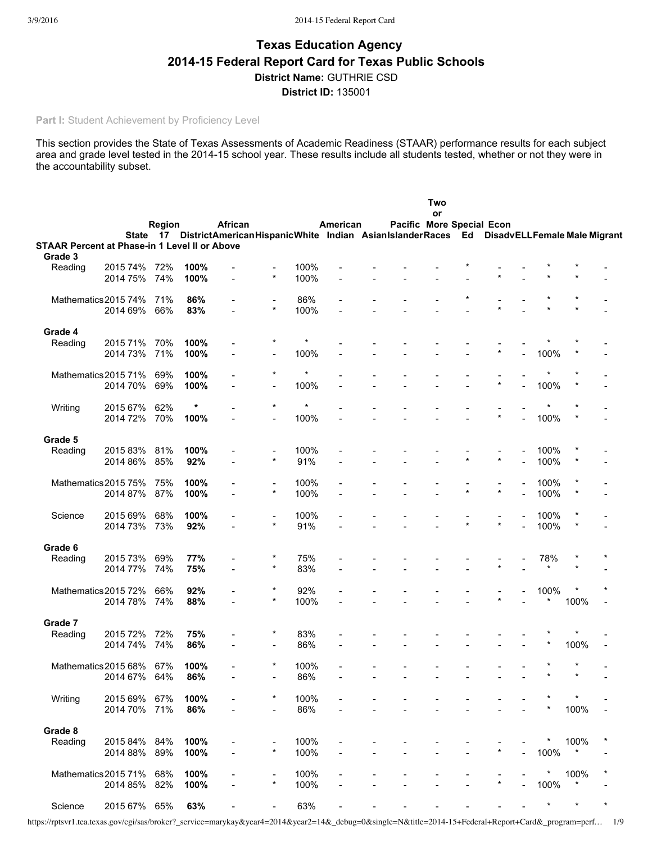# **Texas Education Agency 201415 Federal Report Card for Texas Public Schools District Name:** GUTHRIE CSD **District ID:** 135001

**Part I:** Student Achievement by Proficiency Level

This section provides the State of Texas Assessments of Academic Readiness (STAAR) performance results for each subject area and grade level tested in the 2014-15 school year. These results include all students tested, whether or not they were in the accountability subset.

|                                                          |                      | Region     |             | African                                                                                 |                                     |             | American | Pacific More Special Econ | Two<br>or |         |         |              |         |         |
|----------------------------------------------------------|----------------------|------------|-------------|-----------------------------------------------------------------------------------------|-------------------------------------|-------------|----------|---------------------------|-----------|---------|---------|--------------|---------|---------|
|                                                          |                      | State 17   |             | DistrictAmericanHispanicWhite Indian AsianIslanderRaces Ed DisadvELLFemale Male Migrant |                                     |             |          |                           |           |         |         |              |         |         |
| STAAR Percent at Phase-in 1 Level II or Above<br>Grade 3 |                      |            |             |                                                                                         |                                     |             |          |                           |           |         |         |              |         |         |
| Reading                                                  | 2015 74%             | 72%        | 100%        |                                                                                         | ۰                                   | 100%        |          |                           |           |         |         |              |         |         |
|                                                          | 2014 75%             | 74%        | 100%        |                                                                                         | $\star$                             | 100%        |          |                           |           |         |         |              |         |         |
|                                                          |                      |            |             |                                                                                         |                                     |             |          |                           |           |         |         |              |         |         |
| Mathematics 2015 74%                                     |                      | 71%        | 86%         |                                                                                         | $\overline{\phantom{a}}$            | 86%         |          |                           |           |         |         |              |         |         |
|                                                          | 2014 69%             | 66%        | 83%         |                                                                                         | $\star$                             | 100%        |          |                           |           |         |         |              |         |         |
| Grade 4                                                  |                      |            |             |                                                                                         |                                     |             |          |                           |           |         |         |              |         |         |
| Reading                                                  | 2015 71%             | 70%        | 100%        |                                                                                         |                                     | $\star$     |          |                           |           |         |         |              |         |         |
|                                                          | 2014 73%             | 71%        | 100%        |                                                                                         |                                     | 100%        |          |                           |           |         | $\star$ | 100%         |         |         |
|                                                          |                      |            |             |                                                                                         |                                     |             |          |                           |           |         |         |              |         |         |
| Mathematics 2015 71%                                     |                      | 69%        | 100%        |                                                                                         | *                                   | $\star$     |          |                           |           |         | $\star$ |              |         |         |
|                                                          | 2014 70%             | 69%        | 100%        |                                                                                         | $\blacksquare$                      | 100%        |          |                           |           |         |         | 100%         |         |         |
| Writing                                                  | 2015 67%             | 62%        | $\star$     |                                                                                         | $\star$                             | $\star$     |          |                           |           |         |         |              |         |         |
|                                                          | 2014 72%             | 70%        | 100%        |                                                                                         |                                     | 100%        |          |                           |           |         | $\star$ | 100%         |         |         |
|                                                          |                      |            |             |                                                                                         |                                     |             |          |                           |           |         |         |              |         |         |
| Grade 5                                                  |                      |            |             |                                                                                         |                                     |             |          |                           |           |         |         |              |         |         |
| Reading                                                  | 2015 83%<br>2014 86% | 81%<br>85% | 100%<br>92% |                                                                                         | $\star$                             | 100%<br>91% |          |                           |           | $\star$ | $\star$ | 100%<br>100% |         |         |
|                                                          |                      |            |             |                                                                                         |                                     |             |          |                           |           |         |         |              |         |         |
| Mathematics 2015 75%                                     |                      | 75%        | 100%        |                                                                                         | $\overline{\phantom{0}}$            | 100%        |          |                           |           |         |         | 100%         |         |         |
|                                                          | 2014 87%             | 87%        | 100%        |                                                                                         | $\star$                             | 100%        |          |                           |           | $\star$ | $\star$ | 100%         |         |         |
|                                                          |                      |            |             |                                                                                         |                                     |             |          |                           |           |         |         |              |         |         |
| Science                                                  | 2015 69%             | 68%        | 100%        |                                                                                         | $\overline{\phantom{0}}$<br>$\star$ | 100%        |          |                           |           |         | $\star$ | 100%         |         |         |
|                                                          | 2014 73%             | 73%        | 92%         |                                                                                         |                                     | 91%         |          |                           |           |         |         | 100%         |         |         |
| Grade 6                                                  |                      |            |             |                                                                                         |                                     |             |          |                           |           |         |         |              |         |         |
| Reading                                                  | 2015 73%             | 69%        | 77%         |                                                                                         |                                     | 75%         |          |                           |           |         |         | 78%          |         |         |
|                                                          | 2014 77%             | 74%        | 75%         |                                                                                         | $\star$                             | 83%         |          |                           |           |         | $\star$ |              |         |         |
|                                                          |                      |            |             |                                                                                         | *                                   |             |          |                           |           |         |         |              |         |         |
| Mathematics 2015 72%                                     | 2014 78%             | 66%<br>74% | 92%<br>88%  |                                                                                         | $\star$                             | 92%<br>100% |          |                           |           |         | $\star$ | 100%         | 100%    |         |
|                                                          |                      |            |             |                                                                                         |                                     |             |          |                           |           |         |         |              |         |         |
| Grade 7                                                  |                      |            |             |                                                                                         |                                     |             |          |                           |           |         |         |              |         |         |
| Reading                                                  | 2015 72%             | 72%        | 75%         |                                                                                         | *                                   | 83%         |          |                           |           |         |         |              |         |         |
|                                                          | 2014 74%             | 74%        | 86%         |                                                                                         | $\qquad \qquad \blacksquare$        | 86%         |          |                           |           |         |         |              | 100%    |         |
| Mathematics 2015 68%                                     |                      | 67%        | 100%        |                                                                                         | *                                   | 100%        |          |                           |           |         |         |              |         |         |
|                                                          | 2014 67%             | 64%        | 86%         |                                                                                         |                                     | 86%         |          |                           |           |         |         |              | $\star$ |         |
|                                                          |                      |            |             |                                                                                         |                                     |             |          |                           |           |         |         |              |         |         |
| Writing                                                  | 2015 69%             | 67%        | 100%        |                                                                                         | *                                   | 100%        |          |                           |           |         |         |              |         |         |
|                                                          | 2014 70%             | 71%        | 86%         |                                                                                         | $\overline{\phantom{0}}$            | 86%         |          |                           |           |         |         |              | 100%    |         |
| Grade 8                                                  |                      |            |             |                                                                                         |                                     |             |          |                           |           |         |         |              |         |         |
| Reading                                                  | 2015 84%             | 84%        | 100%        |                                                                                         |                                     | 100%        |          |                           |           |         |         |              | 100%    |         |
|                                                          | 2014 88%             | 89%        | 100%        |                                                                                         | $\star$                             | 100%        |          |                           |           |         |         | 100%         |         |         |
|                                                          |                      |            |             |                                                                                         |                                     |             |          |                           |           |         |         |              |         |         |
| Mathematics 2015 71%                                     |                      | 68%        | 100%        |                                                                                         |                                     | 100%        |          |                           |           |         |         | $^{\star}$   | 100%    |         |
|                                                          | 2014 85%             | 82%        | 100%        |                                                                                         | $\star$                             | 100%        |          |                           |           |         | *       | 100%         |         |         |
| Science                                                  | 2015 67% 65%         |            | 63%         |                                                                                         |                                     | 63%         |          |                           |           |         |         | $\star$      | $\star$ | $\star$ |

https://rptsvr1.tea.texas.gov/cgi/sas/broker?\_service=marykay&year4=2014&year2=14&\_debug=0&single=N&title=2014-15+Federal+Report+Card&\_program=perf… 1/9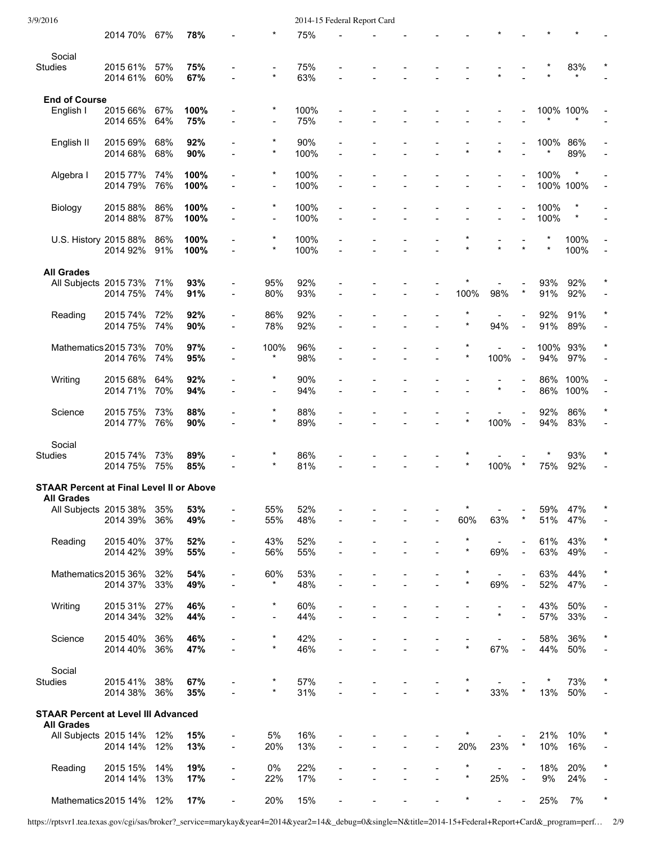| 3/9/2016                                        |                      |            |              |                          |                          |              | 2014-15 Federal Report Card |                |            |                |                |             |                   |                |
|-------------------------------------------------|----------------------|------------|--------------|--------------------------|--------------------------|--------------|-----------------------------|----------------|------------|----------------|----------------|-------------|-------------------|----------------|
|                                                 | 2014 70%             | 67%        | 78%          |                          |                          | 75%          |                             |                |            |                |                |             |                   |                |
| Social                                          |                      |            |              |                          |                          |              |                             |                |            |                |                |             |                   |                |
| <b>Studies</b>                                  | 2015 61%             | 57%        | 75%          |                          |                          | 75%          |                             |                |            |                |                |             | 83%               |                |
|                                                 | 2014 61%             | 60%        | 67%          |                          | $\star$                  | 63%          |                             |                |            |                |                |             |                   |                |
| <b>End of Course</b>                            |                      |            |              |                          |                          |              |                             |                |            |                |                |             |                   |                |
| English I                                       | 2015 66%             | 67%        | 100%         |                          | $\star$                  | 100%         |                             |                |            |                |                |             | 100% 100%         |                |
|                                                 | 2014 65%             | 64%        | 75%          |                          | $\blacksquare$           | 75%          |                             |                |            |                |                |             | $\star$           |                |
| English II                                      | 2015 69%             | 68%        | 92%          |                          | $\star$                  | 90%          |                             |                |            |                |                | 100%        | 86%               |                |
|                                                 | 2014 68%             | 68%        | 90%          |                          | $\star$                  | 100%         |                             |                | $\star$    | $\star$        |                | *           | 89%               |                |
|                                                 |                      |            |              |                          | *                        |              |                             |                |            |                |                |             | $\ast$            |                |
| Algebra I                                       | 2015 77%<br>2014 79% | 74%<br>76% | 100%<br>100% | $\blacksquare$           | $\overline{\phantom{a}}$ | 100%<br>100% |                             |                |            | $\overline{a}$ |                | 100%        | 100% 100%         | $\blacksquare$ |
|                                                 |                      |            |              |                          |                          |              |                             |                |            |                |                |             |                   |                |
| Biology                                         | 2015 88%             | 86%        | 100%         |                          | $\star$                  | 100%         |                             |                |            |                |                | 100%        | $\ast$<br>$\star$ |                |
|                                                 | 2014 88%             | 87%        | 100%         |                          |                          | 100%         |                             |                |            | $\blacksquare$ |                | 100%        |                   |                |
| U.S. History 2015 88%                           |                      | 86%        | 100%         |                          | $\star$                  | 100%         |                             |                |            |                |                | $^\star$    | 100%              |                |
|                                                 | 2014 92%             | 91%        | 100%         |                          | $\star$                  | 100%         |                             |                | $\star$    | $\star$        |                | $\star$     | 100%              |                |
| <b>All Grades</b>                               |                      |            |              |                          |                          |              |                             |                |            |                |                |             |                   |                |
| All Subjects 2015 73%                           |                      | 71%        | 93%          |                          | 95%                      | 92%          |                             |                |            |                |                | 93%         | 92%               |                |
|                                                 | 2014 75%             | 74%        | 91%          | $\overline{\phantom{a}}$ | 80%                      | 93%          |                             |                | 100%       | 98%            |                | 91%         | 92%               |                |
| Reading                                         | 2015 74%             | 72%        | 92%          | $\overline{\phantom{a}}$ | 86%                      | 92%          |                             |                | $\ast$     |                |                | 92%         | 91%               | $\star$        |
|                                                 | 2014 75%             | 74%        | 90%          | $\blacksquare$           | 78%                      | 92%          |                             |                | $\star$    | 94%            |                | 91%         | 89%               |                |
|                                                 |                      |            |              |                          |                          |              |                             |                | *          |                |                |             |                   |                |
| Mathematics 2015 73%                            | 2014 76%             | 70%<br>74% | 97%<br>95%   | $\blacksquare$           | 100%<br>*                | 96%<br>98%   |                             |                | $\star$    | 100%           | $\blacksquare$ | 100%<br>94% | 93%<br>97%        |                |
|                                                 |                      |            |              |                          |                          |              |                             |                |            |                |                |             |                   |                |
| Writing                                         | 2015 68%             | 64%        | 92%          |                          | $^\star$                 | 90%          |                             |                |            | $\star$        |                | 86%         | 100%              |                |
|                                                 | 2014 71%             | 70%        | 94%          |                          | $\overline{a}$           | 94%          |                             |                |            |                |                | 86%         | 100%              |                |
| Science                                         | 2015 75%             | 73%        | 88%          |                          | $^\star$                 | 88%          |                             |                |            |                |                | 92%         | 86%               |                |
|                                                 | 2014 77%             | 76%        | 90%          |                          | $\star$                  | 89%          |                             | L.             | $\star$    | 100%           | $\sim$         | 94%         | 83%               |                |
| Social                                          |                      |            |              |                          |                          |              |                             |                |            |                |                |             |                   |                |
| <b>Studies</b>                                  | 2015 74%             | 73%        | 89%          |                          |                          | 86%          |                             |                |            |                |                |             | 93%               |                |
|                                                 | 2014 75% 75%         |            | 85%          |                          |                          | 81%          |                             |                | $\star$    | 100%           |                | 75%         | 92%               |                |
| <b>STAAR Percent at Final Level II or Above</b> |                      |            |              |                          |                          |              |                             |                |            |                |                |             |                   |                |
| <b>All Grades</b>                               |                      |            |              |                          |                          |              |                             |                |            |                |                |             |                   |                |
| All Subjects 2015 38%                           |                      | 35%        | 53%          |                          | 55%                      | 52%          |                             |                | $\ast$     |                | $^\star$       | 59%         | 47%               |                |
|                                                 | 2014 39%             | 36%        | 49%          | $\blacksquare$           | 55%                      | 48%          |                             |                | 60%        | 63%            |                | 51%         | 47%               |                |
| Reading                                         | 2015 40%             | 37%        | 52%          | $\blacksquare$           | 43%                      | 52%          |                             |                | $\star$    | $\blacksquare$ |                | 61%         | 43%               |                |
|                                                 | 2014 42%             | 39%        | 55%          | $\overline{\phantom{a}}$ | 56%                      | 55%          |                             |                | $\star$    | 69%            | $\mathbf{r}$   | 63%         | 49%               |                |
| Mathematics 2015 36%                            |                      | 32%        | 54%          | ÷,                       | 60%                      | 53%          |                             |                |            |                |                | 63%         | 44%               | $\star$        |
|                                                 | 2014 37%             | 33%        | 49%          |                          | $^\star$                 | 48%          |                             |                | $\star$    | 69%            |                | 52%         | 47%               |                |
|                                                 |                      |            |              |                          | $^{\star}$               |              |                             |                |            |                |                |             |                   |                |
| Writing                                         | 2015 31%<br>2014 34% | 27%<br>32% | 46%<br>44%   | $\blacksquare$           | $\overline{\phantom{a}}$ | 60%<br>44%   |                             |                |            | $\star$        | $\blacksquare$ | 43%<br>57%  | 50%<br>33%        |                |
|                                                 |                      |            |              |                          |                          |              |                             |                |            |                |                |             |                   |                |
| Science                                         | 2015 40%             | 36%        | 46%          |                          | $\star$<br>$\star$       | 42%          |                             |                | $\star$    |                |                | 58%         | 36%               |                |
|                                                 | 2014 40%             | 36%        | 47%          |                          |                          | 46%          |                             |                |            | 67%            |                | 44%         | 50%               |                |
| Social                                          |                      |            |              |                          |                          |              |                             |                |            |                |                |             |                   |                |
| <b>Studies</b>                                  | 2015 41%             | 38%        | 67%          |                          | $\star$                  | 57%          |                             |                | $\star$    |                | $\star$        | *           | 73%               |                |
|                                                 | 2014 38%             | 36%        | 35%          |                          |                          | 31%          |                             |                |            | 33%            |                | 13%         | 50%               |                |
| <b>STAAR Percent at Level III Advanced</b>      |                      |            |              |                          |                          |              |                             |                |            |                |                |             |                   |                |
| <b>All Grades</b>                               |                      |            |              |                          |                          |              |                             |                |            |                |                |             |                   |                |
| All Subjects 2015 14%                           | 2014 14%             | 12%<br>12% | 15%<br>13%   | $\overline{\phantom{a}}$ | 5%<br>20%                | 16%<br>13%   |                             | $\overline{a}$ | 20%        | 23%            |                | 21%<br>10%  | 10%<br>16%        |                |
|                                                 |                      |            |              |                          |                          |              |                             |                |            |                |                |             |                   |                |
| Reading                                         | 2015 15%             | 14%        | 19%          | $\overline{\phantom{a}}$ | 0%                       | 22%          |                             |                | $\ast$     |                |                | 18%         | 20%               |                |
|                                                 | 2014 14%             | 13%        | 17%          | $\blacksquare$           | 22%                      | 17%          |                             | $\overline{a}$ | $^{\star}$ | 25%            |                | 9%          | 24%               |                |
| Mathematics 2015 14% 12%                        |                      |            | 17%          | $\blacksquare$           | 20%                      | 15%          |                             |                | $\star$    |                |                | 25%         | 7%                |                |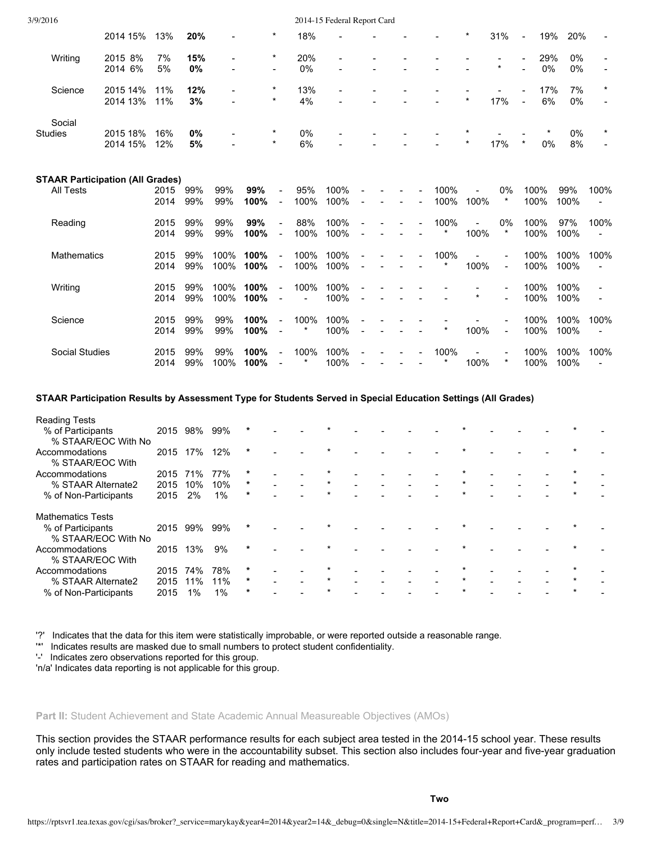| 3/9/2016              |                                         |              |            |                |              |                            |                  | 2014-15 Federal Report Card |                          |                |        |              |         |                |                |              |              |         |
|-----------------------|-----------------------------------------|--------------|------------|----------------|--------------|----------------------------|------------------|-----------------------------|--------------------------|----------------|--------|--------------|---------|----------------|----------------|--------------|--------------|---------|
|                       | 2014 15%                                | 13%          | 20%        |                |              | $\ast$                     | 18%              |                             |                          |                |        |              | *       | 31%            | $\blacksquare$ | 19%          | 20%          |         |
| Writing               | 2015 8%                                 | 7%           | 15%        | $\overline{a}$ |              | $^\star$                   | 20%              | $\blacksquare$              |                          |                |        |              |         |                |                | 29%          | $0\%$        |         |
|                       | 2014 6%                                 | 5%           | 0%         |                |              | $\blacksquare$             | 0%               |                             |                          |                |        |              |         | $\star$        |                | 0%           | 0%           |         |
| Science               | 2015 14%                                | 11%          | 12%        |                |              | $\ast$                     | 13%              |                             |                          |                |        |              |         |                |                | 17%          | 7%           | $\star$ |
|                       | 2014 13%                                | 11%          | 3%         |                |              | $\star$                    | 4%               |                             |                          |                |        |              | $\star$ | 17%            | $\sim$         | 6%           | 0%           |         |
| Social                |                                         |              |            |                |              | $^\star$                   |                  |                             |                          |                |        |              |         |                |                |              |              |         |
| <b>Studies</b>        | 2015 18%<br>2014 15%                    | 16%<br>12%   | 0%<br>5%   |                |              | $\star$                    | 0%<br>6%         |                             |                          |                |        |              | $\star$ | 17%            | $\star$        | 0%           | 0%<br>8%     |         |
|                       |                                         |              |            |                |              |                            |                  |                             |                          |                |        |              |         |                |                |              |              |         |
|                       | <b>STAAR Participation (All Grades)</b> |              |            |                |              |                            |                  |                             |                          |                |        |              |         |                |                |              |              |         |
| <b>All Tests</b>      |                                         | 2015<br>2014 | 99%<br>99% | 99%<br>99%     | 99%<br>100%  | $\blacksquare$<br>$\equiv$ | 95%<br>100%      | 100%<br>100%                |                          | $\blacksquare$ | $\sim$ | 100%<br>100% | 100%    | 0%<br>$\star$  |                | 100%<br>100% | 99%<br>100%  | 100%    |
| Reading               |                                         | 2015         | 99%        | 99%            | 99%          | $\blacksquare$             | 88%              | 100%                        |                          |                |        | 100%         |         | 0%             |                | 100%         | 97%          | 100%    |
|                       |                                         | 2014         | 99%        | 99%            | 100%         | $\blacksquare$             | 100%             | 100%                        | $\overline{\phantom{a}}$ |                |        | $\star$      | 100%    | $\star$        |                | 100%         | 100%         |         |
| <b>Mathematics</b>    |                                         | 2015         | 99%        | 100%           | 100%         | $\blacksquare$             | 100%             | 100%                        |                          |                |        | 100%         |         |                |                | 100%         | 100%         | 100%    |
|                       |                                         | 2014         | 99%        | 100%           | 100%         | $\equiv$                   | 100%             | 100%                        | $\blacksquare$           |                |        | $\star$      | 100%    | $\blacksquare$ |                | 100%         | 100%         |         |
| Writing               |                                         | 2015         | 99%        | 100%           | 100%         | $\blacksquare$             | 100%             | 100%                        |                          |                |        |              | $\star$ |                |                | 100%         | 100%         |         |
|                       |                                         | 2014         | 99%        | 100%           | 100%         | $\blacksquare$             |                  | 100%                        |                          |                |        |              |         |                |                | 100%         | 100%         |         |
| Science               |                                         | 2015         | 99%        | 99%            | 100%         | $\blacksquare$             | 100%<br>$^\star$ | 100%                        |                          |                |        | $\star$      |         |                |                | 100%         | 100%         | 100%    |
|                       |                                         | 2014         | 99%        | 99%            | 100%         | $\blacksquare$             |                  | 100%                        | $\overline{a}$           |                |        |              | 100%    | $\blacksquare$ |                | 100%         | 100%         |         |
| <b>Social Studies</b> |                                         | 2015<br>2014 | 99%<br>99% | 99%<br>100%    | 100%<br>100% | $\blacksquare$             | 100%<br>*        | 100%<br>100%                |                          |                |        | 100%         | 100%    | $\star$        |                | 100%<br>100% | 100%<br>100% | 100%    |
|                       |                                         |              |            |                |              | $\blacksquare$             |                  |                             |                          |                |        |              |         |                |                |              |              |         |

# **STAAR Participation Results by Assessment Type for Students Served in Special Education Settings (All Grades)**

| <b>Reading Tests</b>     |      |     |     |         |  |         |  |  |         |  |  |  |
|--------------------------|------|-----|-----|---------|--|---------|--|--|---------|--|--|--|
| % of Participants        | 2015 | 98% | 99% | $\ast$  |  |         |  |  |         |  |  |  |
| % STAAR/EOC With No      |      |     |     |         |  |         |  |  |         |  |  |  |
| Accommodations           | 2015 | 17% | 12% | $\ast$  |  |         |  |  |         |  |  |  |
| % STAAR/EOC With         |      |     |     |         |  |         |  |  |         |  |  |  |
| Accommodations           | 2015 | 71% | 77% | *       |  |         |  |  |         |  |  |  |
| % STAAR Alternate2       | 2015 | 10% | 10% | *       |  |         |  |  |         |  |  |  |
| % of Non-Participants    | 2015 | 2%  | 1%  | $\ast$  |  |         |  |  |         |  |  |  |
| <b>Mathematics Tests</b> |      |     |     |         |  |         |  |  |         |  |  |  |
| % of Participants        | 2015 | 99% | 99% | *       |  |         |  |  |         |  |  |  |
| % STAAR/EOC With No      |      |     |     |         |  |         |  |  |         |  |  |  |
| Accommodations           | 2015 | 13% | 9%  | $\star$ |  |         |  |  |         |  |  |  |
| % STAAR/EOC With         |      |     |     |         |  |         |  |  |         |  |  |  |
| Accommodations           | 2015 | 74% | 78% | *       |  |         |  |  |         |  |  |  |
| % STAAR Alternate2       | 2015 | 11% | 11% | *       |  | $\star$ |  |  | $\star$ |  |  |  |
| % of Non-Participants    | 2015 | 1%  | 1%  | *       |  |         |  |  |         |  |  |  |

'?' Indicates that the data for this item were statistically improbable, or were reported outside a reasonable range.

'\*' Indicates results are masked due to small numbers to protect student confidentiality.

'' Indicates zero observations reported for this group.

'n/a' Indicates data reporting is not applicable for this group.

## **Part II:** Student Achievement and State Academic Annual Measureable Objectives (AMOs)

This section provides the STAAR performance results for each subject area tested in the 2014-15 school year. These results only include tested students who were in the accountability subset. This section also includes four-year and five-year graduation rates and participation rates on STAAR for reading and mathematics.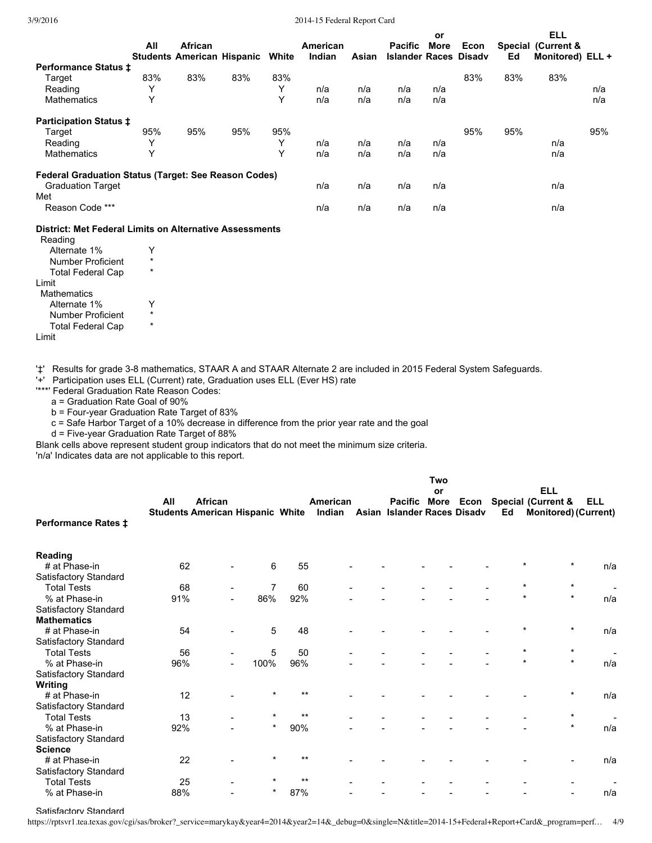3/9/2016 2014-15 Federal Report Card

|                                                             |              |                                                     |     |       |                    |       |                                                | or   |      |     | <b>ELL</b>                             |     |
|-------------------------------------------------------------|--------------|-----------------------------------------------------|-----|-------|--------------------|-------|------------------------------------------------|------|------|-----|----------------------------------------|-----|
|                                                             | All          | <b>African</b><br><b>Students American Hispanic</b> |     | White | American<br>Indian | Asian | <b>Pacific</b><br><b>Islander Races Disady</b> | More | Econ | Ed  | Special (Current &<br>Monitored) ELL + |     |
| <b>Performance Status ±</b>                                 |              |                                                     |     |       |                    |       |                                                |      |      |     |                                        |     |
| Target                                                      | 83%          | 83%                                                 | 83% | 83%   |                    |       |                                                |      | 83%  | 83% | 83%                                    |     |
| Reading                                                     | $\checkmark$ |                                                     |     | Y     | n/a                | n/a   | n/a                                            | n/a  |      |     |                                        | n/a |
| Mathematics                                                 | Υ            |                                                     |     | Υ     | n/a                | n/a   | n/a                                            | n/a  |      |     |                                        | n/a |
| <b>Participation Status ‡</b>                               |              |                                                     |     |       |                    |       |                                                |      |      |     |                                        |     |
| Target                                                      | 95%          | 95%                                                 | 95% | 95%   |                    |       |                                                |      | 95%  | 95% |                                        | 95% |
| Reading                                                     | $\checkmark$ |                                                     |     | Υ     | n/a                | n/a   | n/a                                            | n/a  |      |     | n/a                                    |     |
| Mathematics                                                 | $\checkmark$ |                                                     |     | Υ     | n/a                | n/a   | n/a                                            | n/a  |      |     | n/a                                    |     |
| <b>Federal Graduation Status (Target: See Reason Codes)</b> |              |                                                     |     |       |                    |       |                                                |      |      |     |                                        |     |
| <b>Graduation Target</b>                                    |              |                                                     |     |       | n/a                | n/a   | n/a                                            | n/a  |      |     | n/a                                    |     |
| Met                                                         |              |                                                     |     |       |                    |       |                                                |      |      |     |                                        |     |
| Reason Code ***                                             |              |                                                     |     |       | n/a                | n/a   | n/a                                            | n/a  |      |     | n/a                                    |     |
|                                                             |              |                                                     |     |       |                    |       |                                                |      |      |     |                                        |     |

# **District: Met Federal Limits on Alternative Assessments**

| Reading                  |   |
|--------------------------|---|
| Alternate 1%             |   |
| <b>Number Proficient</b> |   |
| <b>Total Federal Cap</b> |   |
| I imit                   |   |
| <b>Mathematics</b>       |   |
| Alternate 1%             |   |
| <b>Number Proficient</b> | ÷ |
| <b>Total Federal Cap</b> |   |
| Limit                    |   |
|                          |   |

'#' Results for grade 3-8 mathematics, STAAR A and STAAR Alternate 2 are included in 2015 Federal System Safeguards.

'+' Participation uses ELL (Current) rate, Graduation uses ELL (Ever HS) rate

'\*\*\*' Federal Graduation Rate Reason Codes:

a = Graduation Rate Goal of 90%

b = Four-year Graduation Rate Target of 83%

c = Safe Harbor Target of a 10% decrease in difference from the prior year rate and the goal

d = Five-year Graduation Rate Target of 88%

Blank cells above represent student group indicators that do not meet the minimum size criteria.

'n/a' Indicates data are not applicable to this report.

|                            |     |                                         |                |       |          |                             | Two |    |                                      |            |     |
|----------------------------|-----|-----------------------------------------|----------------|-------|----------|-----------------------------|-----|----|--------------------------------------|------------|-----|
|                            |     |                                         |                |       |          |                             | or  |    | <b>ELL</b>                           |            |     |
|                            | All | <b>African</b>                          |                |       | American |                             |     |    | Pacific More Econ Special (Current & | <b>ELL</b> |     |
| <b>Performance Rates ‡</b> |     | <b>Students American Hispanic White</b> |                |       | Indian   | Asian Islander Races Disadv |     | Ed | <b>Monitored) (Current)</b>          |            |     |
| Reading                    |     |                                         |                |       |          |                             |     |    |                                      |            |     |
| # at Phase-in              | 62  |                                         | 6              | 55    |          |                             |     |    |                                      |            | n/a |
| Satisfactory Standard      |     |                                         |                |       |          |                             |     |    |                                      |            |     |
| <b>Total Tests</b>         | 68  |                                         | $\overline{7}$ | 60    |          |                             |     |    | $\star$                              | $\star$    |     |
| % at Phase-in              | 91% |                                         | 86%            | 92%   |          |                             |     |    |                                      | $\star$    | n/a |
| Satisfactory Standard      |     |                                         |                |       |          |                             |     |    |                                      |            |     |
| <b>Mathematics</b>         |     |                                         |                |       |          |                             |     |    |                                      |            |     |
| # at Phase-in              | 54  |                                         | 5              | 48    |          |                             |     |    |                                      | $\star$    | n/a |
| Satisfactory Standard      |     |                                         |                |       |          |                             |     |    |                                      |            |     |
| <b>Total Tests</b>         | 56  |                                         | 5              | 50    |          |                             |     |    | *                                    | $\star$    |     |
| % at Phase-in              | 96% |                                         | 100%           | 96%   |          |                             |     |    | $\star$                              | $\star$    | n/a |
| Satisfactory Standard      |     |                                         |                |       |          |                             |     |    |                                      |            |     |
| Writing                    |     |                                         |                |       |          |                             |     |    |                                      |            |     |
| # at Phase-in              | 12  |                                         | $\star$        | $***$ |          |                             |     |    |                                      | $\ast$     | n/a |
| Satisfactory Standard      |     |                                         |                |       |          |                             |     |    |                                      |            |     |
| <b>Total Tests</b>         | 13  |                                         | $\star$        | $***$ |          |                             |     |    |                                      | $\star$    |     |
| % at Phase-in              | 92% |                                         | $\star$        | 90%   |          |                             |     |    |                                      | $\star$    | n/a |
| Satisfactory Standard      |     |                                         |                |       |          |                             |     |    |                                      |            |     |
| <b>Science</b>             |     |                                         |                |       |          |                             |     |    |                                      |            |     |
| # at Phase-in              | 22  |                                         | $\star$        | $***$ |          |                             |     |    |                                      |            | n/a |
| Satisfactory Standard      |     |                                         |                |       |          |                             |     |    |                                      |            |     |
| <b>Total Tests</b>         | 25  |                                         | ÷              | $***$ |          |                             |     |    |                                      |            |     |
| % at Phase-in              | 88% |                                         | *              | 87%   |          |                             |     |    |                                      |            | n/a |

#### Satisfactory Standard

https://rptsvr1.tea.texas.gov/cgi/sas/broker?\_service=marykay&year4=2014&year2=14&\_debug=0&single=N&title=2014-15+Federal+Report+Card&\_program=perf… 4/9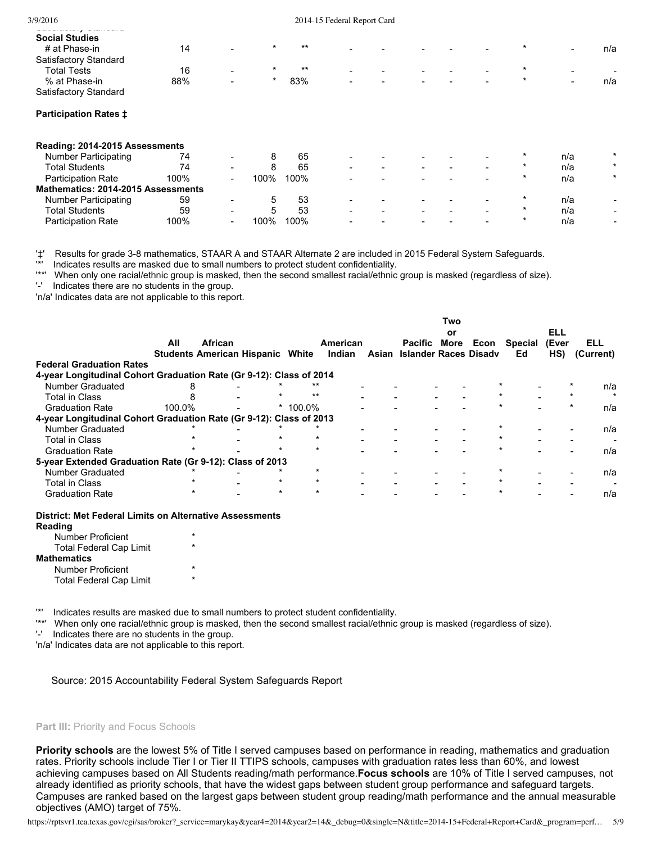#### 3/9/2016 2014-15 Federal Report Card

| _ _ _ _ _ . _ . _ . _ .<br>---------- |     |                          |         |       |                          |                          |                          |                          |                          |                          |        |
|---------------------------------------|-----|--------------------------|---------|-------|--------------------------|--------------------------|--------------------------|--------------------------|--------------------------|--------------------------|--------|
| <b>Social Studies</b>                 |     |                          |         |       |                          |                          |                          |                          |                          |                          |        |
| # at Phase-in                         | 14  | $\overline{\phantom{a}}$ | $\star$ | $***$ | $\sim$                   | $\overline{\phantom{a}}$ | $\overline{\phantom{0}}$ | $\overline{\phantom{0}}$ | $\sim$                   | $\overline{\phantom{0}}$ | n/a    |
| Satisfactory Standard                 |     |                          |         |       |                          |                          |                          |                          |                          |                          |        |
| <b>Total Tests</b>                    | 16  | $\overline{\phantom{0}}$ | $\star$ | $***$ | $\sim$                   | $\overline{\phantom{0}}$ | $\sim$                   | $\sim$                   | $\overline{\phantom{0}}$ | $\overline{\phantom{0}}$ | $\sim$ |
| % at Phase-in                         | 88% | $\sim$                   |         | 83%   | $\overline{\phantom{a}}$ | $\overline{\phantom{0}}$ | $\sim$                   | $\sim$                   | $\overline{\phantom{0}}$ | $\sim$                   | n/a    |
| Satisfactory Standard                 |     |                          |         |       |                          |                          |                          |                          |                          |                          |        |
|                                       |     |                          |         |       |                          |                          |                          |                          |                          |                          |        |

## **Participation Rates ‡**

Satisfactory Standard

| Reading: 2014-2015 Assessments     |      |                          |      |      |                          |                          |  |   |         |     |                          |
|------------------------------------|------|--------------------------|------|------|--------------------------|--------------------------|--|---|---------|-----|--------------------------|
| <b>Number Participating</b>        | 74   | ۰.                       |      | 65   | -                        |                          |  |   | *       | n/a | $\star$                  |
| <b>Total Students</b>              | 74   | -                        |      | 65   | $\overline{\phantom{a}}$ | $\overline{\phantom{0}}$ |  | - |         | n/a | $\star$                  |
| <b>Participation Rate</b>          | 100% | $\overline{\phantom{0}}$ | 100% | 100% | $\blacksquare$           |                          |  |   | $\star$ | n/a | $\star$                  |
| Mathematics: 2014-2015 Assessments |      |                          |      |      |                          |                          |  |   |         |     |                          |
| Number Participating               | 59   | $\overline{\phantom{a}}$ | b    | 53   | -                        |                          |  |   |         | n/a | -                        |
| Total Students                     | 59   | -                        | 5    | 53   | $\blacksquare$           |                          |  |   |         | n/a | $\overline{\phantom{0}}$ |
| <b>Participation Rate</b>          | 100% |                          | ገ0%  | 100% | -                        |                          |  |   |         | n/a | -                        |

'‡' Results for grade 38 mathematics, STAAR A and STAAR Alternate 2 are included in 2015 Federal System Safeguards.

'\*' Indicates results are masked due to small numbers to protect student confidentiality.

When only one racial/ethnic group is masked, then the second smallest racial/ethnic group is masked (regardless of size).

'' Indicates there are no students in the group.

'n/a' Indicates data are not applicable to this report.

|                                                                     |        |         |                                         |        |          |                             | Two  |      |         |       |           |
|---------------------------------------------------------------------|--------|---------|-----------------------------------------|--------|----------|-----------------------------|------|------|---------|-------|-----------|
|                                                                     |        |         |                                         |        |          |                             | or   |      |         | ELL   |           |
|                                                                     | All    | African |                                         |        | American | Pacific                     | More | Econ | Special | (Ever | ELL       |
|                                                                     |        |         | <b>Students American Hispanic White</b> |        | Indian   | Asian Islander Races Disady |      |      | Ed      | HS)   | (Current) |
| <b>Federal Graduation Rates</b>                                     |        |         |                                         |        |          |                             |      |      |         |       |           |
| 4-year Longitudinal Cohort Graduation Rate (Gr 9-12): Class of 2014 |        |         |                                         |        |          |                             |      |      |         |       |           |
| Number Graduated                                                    |        |         |                                         |        |          |                             |      |      |         |       | n/a       |
| <b>Total in Class</b>                                               |        |         |                                         | $***$  |          |                             |      |      |         |       | $\star$   |
| <b>Graduation Rate</b>                                              | 100.0% |         |                                         | 100.0% |          |                             |      |      |         |       | n/a       |
| 4-year Longitudinal Cohort Graduation Rate (Gr 9-12): Class of 2013 |        |         |                                         |        |          |                             |      |      |         |       |           |
| <b>Number Graduated</b>                                             |        |         |                                         |        |          |                             |      |      |         |       | n/a       |
| <b>Total in Class</b>                                               |        |         |                                         |        |          |                             |      |      |         |       |           |
| <b>Graduation Rate</b>                                              |        |         |                                         |        |          |                             |      |      |         |       | n/a       |
| 5-year Extended Graduation Rate (Gr 9-12): Class of 2013            |        |         |                                         |        |          |                             |      |      |         |       |           |
| <b>Number Graduated</b>                                             |        |         |                                         |        |          |                             |      |      |         |       | n/a       |
| <b>Total in Class</b>                                               |        |         | $\star$                                 |        |          |                             |      |      |         |       |           |
| <b>Graduation Rate</b>                                              |        |         | $\star$                                 |        |          |                             |      |      |         |       | n/a       |

**District: Met Federal Limits on Alternative Assessments**

| Reading                        |         |
|--------------------------------|---------|
| Number Proficient              | $\star$ |
| <b>Total Federal Cap Limit</b> | ÷       |
| <b>Mathematics</b>             |         |
| Number Proficient              | ÷       |
| <b>Total Federal Cap Limit</b> | ÷       |

'\*' Indicates results are masked due to small numbers to protect student confidentiality.

'\*\*' When only one racial/ethnic group is masked, then the second smallest racial/ethnic group is masked (regardless of size).

'' Indicates there are no students in the group.

'n/a' Indicates data are not applicable to this report.

Source: 2015 Accountability Federal System Safeguards Report

#### **Part III:** Priority and Focus Schools

**Priority schools** are the lowest 5% of Title I served campuses based on performance in reading, mathematics and graduation rates. Priority schools include Tier I or Tier II TTIPS schools, campuses with graduation rates less than 60%, and lowest achieving campuses based on All Students reading/math performance.**Focus schools** are 10% of Title I served campuses, not already identified as priority schools, that have the widest gaps between student group performance and safeguard targets. Campuses are ranked based on the largest gaps between student group reading/math performance and the annual measurable objectives (AMO) target of 75%.

https://rptsvr1.tea.texas.gov/cgi/sas/broker?\_service=marykay&year4=2014&year2=14&\_debug=0&single=N&title=2014-15+Federal+Report+Card&\_program=perf… 5/9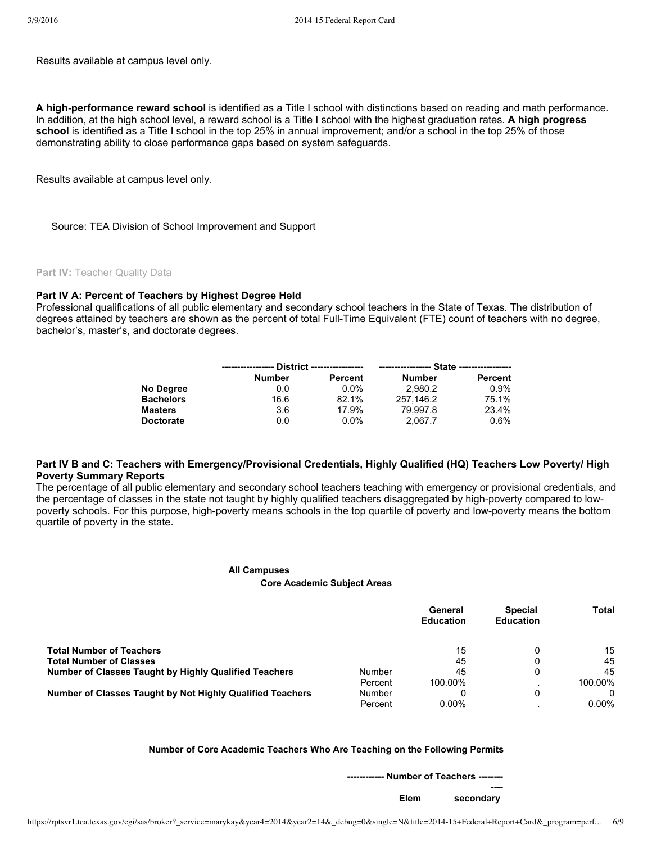Results available at campus level only.

A high-performance reward school is identified as a Title I school with distinctions based on reading and math performance. In addition, at the high school level, a reward school is a Title I school with the highest graduation rates. **A high progress school** is identified as a Title I school in the top 25% in annual improvement; and/or a school in the top 25% of those demonstrating ability to close performance gaps based on system safeguards.

Results available at campus level only.

Source: TEA Division of School Improvement and Support

**Part IV:** Teacher Quality Data

## **Part IV A: Percent of Teachers by Highest Degree Held**

Professional qualifications of all public elementary and secondary school teachers in the State of Texas. The distribution of degrees attained by teachers are shown as the percent of total Full-Time Equivalent (FTE) count of teachers with no degree, bachelor's, master's, and doctorate degrees.

|                  | ------------------ | District ------------------ |               |                |
|------------------|--------------------|-----------------------------|---------------|----------------|
|                  | <b>Number</b>      | <b>Percent</b>              | <b>Number</b> | <b>Percent</b> |
| No Degree        | 0.0                | $0.0\%$                     | 2.980.2       | $0.9\%$        |
| <b>Bachelors</b> | 16.6               | 82.1%                       | 257.146.2     | 75.1%          |
| <b>Masters</b>   | 3.6                | 17.9%                       | 79.997.8      | 23.4%          |
| <b>Doctorate</b> | 0.0                | $0.0\%$                     | 2.067.7       | $0.6\%$        |

## Part IV B and C: Teachers with Emergency/Provisional Credentials, Highly Qualified (HQ) Teachers Low Poverty/ High **Poverty Summary Reports**

The percentage of all public elementary and secondary school teachers teaching with emergency or provisional credentials, and the percentage of classes in the state not taught by highly qualified teachers disaggregated by high-poverty compared to lowpoverty schools. For this purpose, high-poverty means schools in the top quartile of poverty and low-poverty means the bottom quartile of poverty in the state.

#### **All Campuses**

#### **Core Academic Subject Areas**

|                                                              |         | General<br><b>Education</b> | <b>Special</b><br><b>Education</b> | Total    |
|--------------------------------------------------------------|---------|-----------------------------|------------------------------------|----------|
| <b>Total Number of Teachers</b>                              |         | 15                          |                                    | 15       |
| <b>Total Number of Classes</b>                               |         | 45                          |                                    | 45       |
| <b>Number of Classes Taught by Highly Qualified Teachers</b> | Number  | 45                          | 0                                  | 45       |
|                                                              | Percent | 100.00%                     |                                    | 100.00%  |
| Number of Classes Taught by Not Highly Qualified Teachers    | Number  |                             | 0                                  |          |
|                                                              | Percent | $0.00\%$                    |                                    | $0.00\%$ |

#### **Number of Core Academic Teachers Who Are Teaching on the Following Permits**

| ----------- Number of Teachers ------- |      |
|----------------------------------------|------|
|                                        |      |
| secondary                              | Elem |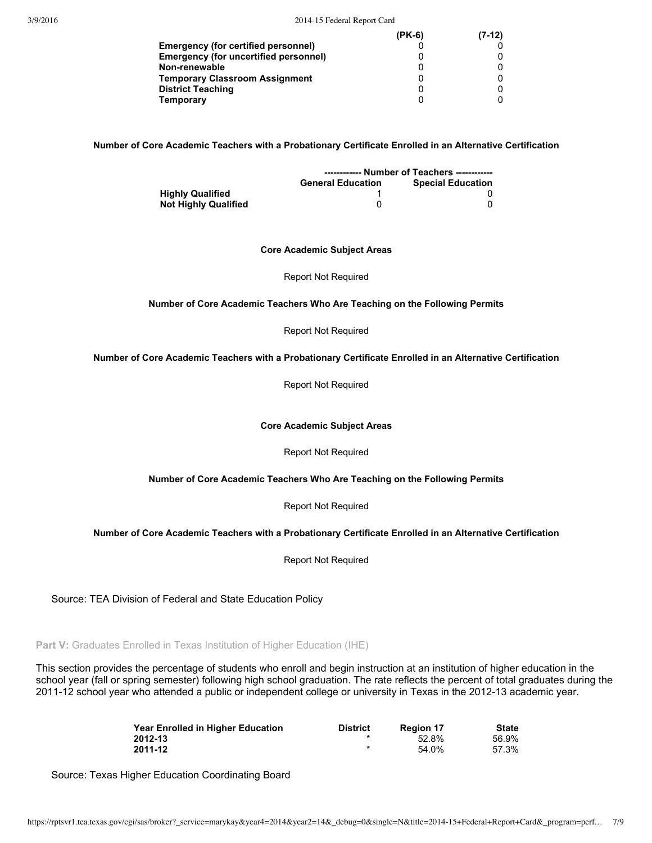|                                              | $(PK-6)$ | $(7-12)$ |
|----------------------------------------------|----------|----------|
| Emergency (for certified personnel)          |          |          |
| <b>Emergency (for uncertified personnel)</b> |          |          |
| Non-renewable                                |          |          |
| <b>Temporary Classroom Assignment</b>        |          |          |
| <b>District Teaching</b>                     |          |          |
| <b>Temporary</b>                             |          |          |

**Number of Core Academic Teachers with a Probationary Certificate Enrolled in an Alternative Certification**

|                         | ------------ Number of Teachers ------------ |                          |  |
|-------------------------|----------------------------------------------|--------------------------|--|
|                         | <b>General Education</b>                     | <b>Special Education</b> |  |
| <b>Highly Qualified</b> |                                              |                          |  |
| Not Highly Qualified    |                                              |                          |  |

#### **Core Academic Subject Areas**

Report Not Required

#### **Number of Core Academic Teachers Who Are Teaching on the Following Permits**

Report Not Required

**Number of Core Academic Teachers with a Probationary Certificate Enrolled in an Alternative Certification**

Report Not Required

**Core Academic Subject Areas**

Report Not Required

#### **Number of Core Academic Teachers Who Are Teaching on the Following Permits**

Report Not Required

## **Number of Core Academic Teachers with a Probationary Certificate Enrolled in an Alternative Certification**

Report Not Required

Source: TEA Division of Federal and State Education Policy

**Part V:** Graduates Enrolled in Texas Institution of Higher Education (IHE)

This section provides the percentage of students who enroll and begin instruction at an institution of higher education in the school year (fall or spring semester) following high school graduation. The rate reflects the percent of total graduates during the 201112 school year who attended a public or independent college or university in Texas in the 201213 academic year.

| <b>Year Enrolled in Higher Education</b> | <b>District</b> | <b>Region 17</b> | <b>State</b> |
|------------------------------------------|-----------------|------------------|--------------|
| 2012-13                                  |                 | 52.8%            | 56.9%        |
| 2011-12                                  |                 | 54.0%            | 57.3%        |

Source: Texas Higher Education Coordinating Board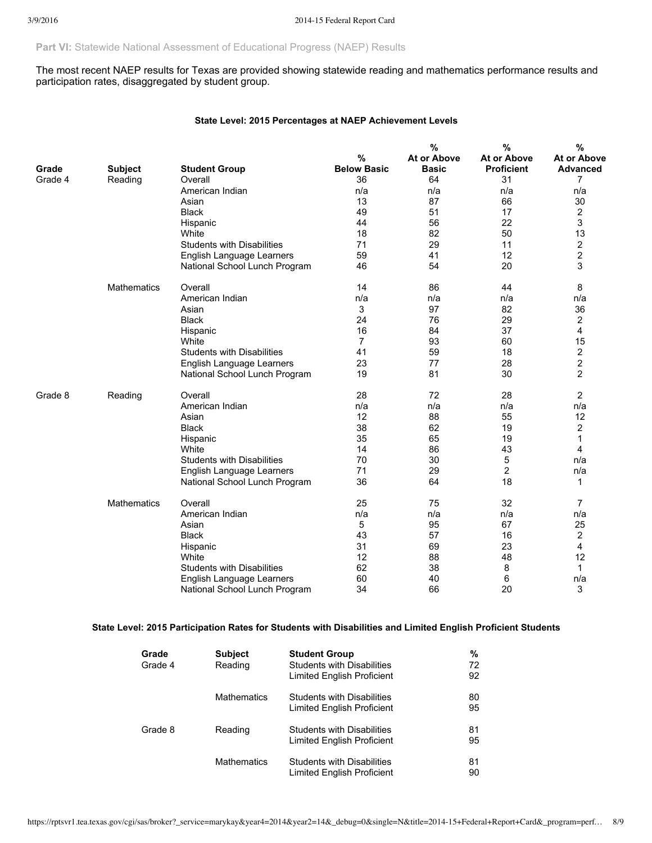**Part VI:** Statewide National Assessment of Educational Progress (NAEP) Results

The most recent NAEP results for Texas are provided showing statewide reading and mathematics performance results and participation rates, disaggregated by student group.

## **State Level: 2015 Percentages at NAEP Achievement Levels**

|         |                    |                                   |                    | %                  | %                  | $\%$           |
|---------|--------------------|-----------------------------------|--------------------|--------------------|--------------------|----------------|
|         |                    |                                   | %                  | <b>At or Above</b> | <b>At or Above</b> | At or Above    |
| Grade   | <b>Subject</b>     | <b>Student Group</b>              | <b>Below Basic</b> | <b>Basic</b>       | <b>Proficient</b>  | Advanced       |
| Grade 4 | Reading            | Overall                           | 36                 | 64                 | 31                 | 7              |
|         |                    | American Indian                   | n/a                | n/a                | n/a                | n/a            |
|         |                    | Asian                             | 13                 | 87                 | 66                 | 30             |
|         |                    | <b>Black</b>                      | 49                 | 51                 | 17                 | 2              |
|         |                    | Hispanic                          | 44                 | 56                 | 22                 | 3              |
|         |                    | White                             | 18                 | 82                 | 50                 | 13             |
|         |                    | <b>Students with Disabilities</b> | 71                 | 29                 | 11                 | 2              |
|         |                    | English Language Learners         | 59                 | 41                 | 12                 | 2              |
|         |                    | National School Lunch Program     | 46                 | 54                 | 20                 | 3              |
|         | Mathematics        | Overall                           | 14                 | 86                 | 44                 | 8              |
|         |                    | American Indian                   | n/a                | n/a                | n/a                | n/a            |
|         |                    | Asian                             | 3                  | 97                 | 82                 | 36             |
|         |                    | <b>Black</b>                      | 24                 | 76                 | 29                 | $\overline{2}$ |
|         |                    | Hispanic                          | 16                 | 84                 | 37                 | 4              |
|         |                    | White                             | $\overline{7}$     | 93                 | 60                 | 15             |
|         |                    | <b>Students with Disabilities</b> | 41                 | 59                 | 18                 | 2              |
|         |                    | English Language Learners         | 23                 | 77                 | 28                 | 2              |
|         |                    | National School Lunch Program     | 19                 | 81                 | 30                 | $\overline{2}$ |
| Grade 8 | Reading            | Overall                           | 28                 | 72                 | 28                 | 2              |
|         |                    | American Indian                   | n/a                | n/a                | n/a                | n/a            |
|         |                    | Asian                             | 12                 | 88                 | 55                 | 12             |
|         |                    | <b>Black</b>                      | 38                 | 62                 | 19                 | 2              |
|         |                    | Hispanic                          | 35                 | 65                 | 19                 | 1              |
|         |                    | White                             | 14                 | 86                 | 43                 | 4              |
|         |                    | <b>Students with Disabilities</b> | 70                 | 30                 | 5                  | n/a            |
|         |                    | English Language Learners         | 71                 | 29                 | $\overline{2}$     | n/a            |
|         |                    | National School Lunch Program     | 36                 | 64                 | 18                 | 1              |
|         | <b>Mathematics</b> | Overall                           | 25                 | 75                 | 32                 | 7              |
|         |                    | American Indian                   | n/a                | n/a                | n/a                | n/a            |
|         |                    | Asian                             | 5                  | 95                 | 67                 | 25             |
|         |                    | <b>Black</b>                      | 43                 | 57                 | 16                 | 2              |
|         |                    | Hispanic                          | 31                 | 69                 | 23                 | 4              |
|         |                    | White                             | 12                 | 88                 | 48                 | 12             |
|         |                    | <b>Students with Disabilities</b> | 62                 | 38                 | 8                  | 1              |
|         |                    | English Language Learners         | 60                 | 40                 | 6                  | n/a            |
|         |                    | National School Lunch Program     | 34                 | 66                 | 20                 | 3              |

# **State Level: 2015 Participation Rates for Students with Disabilities and Limited English Proficient Students**

| Grade<br>Grade 4 | <b>Subject</b><br>Reading | <b>Student Group</b><br><b>Students with Disabilities</b><br>Limited English Proficient | ℅<br>72<br>92 |
|------------------|---------------------------|-----------------------------------------------------------------------------------------|---------------|
|                  | <b>Mathematics</b>        | <b>Students with Disabilities</b><br>Limited English Proficient                         | 80<br>95      |
| Grade 8          | Reading                   | <b>Students with Disabilities</b><br>Limited English Proficient                         | 81<br>95      |
|                  | <b>Mathematics</b>        | <b>Students with Disabilities</b><br>Limited English Proficient                         | 81<br>90      |